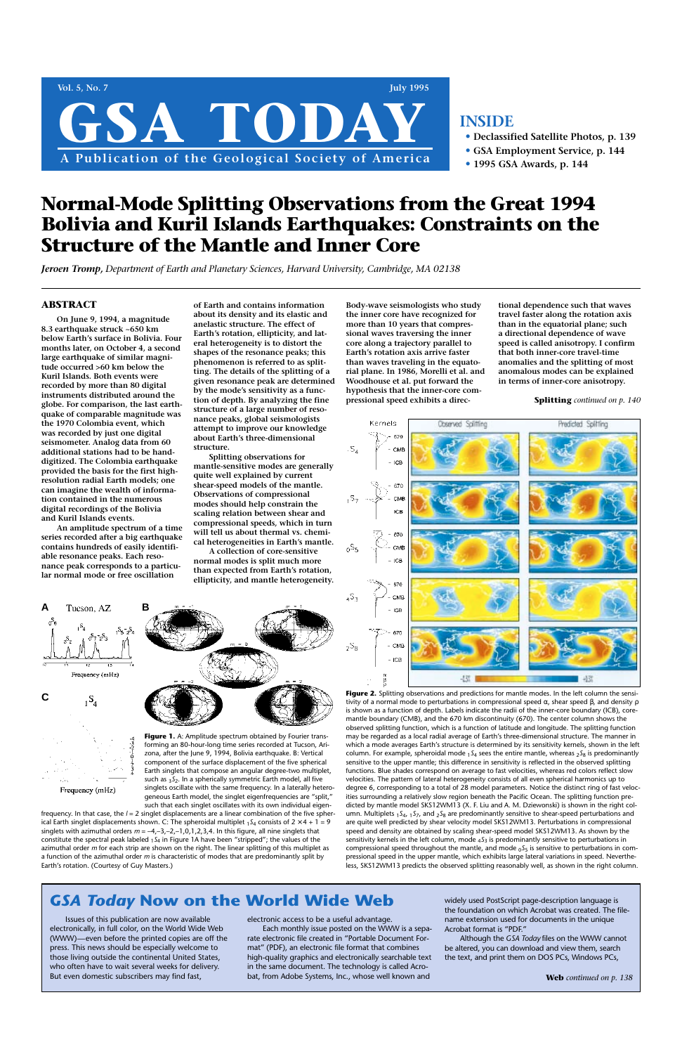## **ABSTRACT**

**On June 9, 1994, a magnitude 8.3 earthquake struck ~650 km below Earth's surface in Bolivia. Four months later, on October 4, a second large earthquake of similar magnitude occurred >60 km below the Kuril Islands. Both events were recorded by more than 80 digital instruments distributed around the globe. For comparison, the last earthquake of comparable magnitude was the 1970 Colombia event, which was recorded by just one digital seismometer. Analog data from 60 additional stations had to be handdigitized. The Colombia earthquake provided the basis for the first highresolution radial Earth models; one can imagine the wealth of information contained in the numerous digital recordings of the Bolivia and Kuril Islands events.**

**An amplitude spectrum of a time series recorded after a big earthquake contains hundreds of easily identifiable resonance peaks. Each resonance peak corresponds to a particular normal mode or free oscillation**

**of Earth and contains information about its density and its elastic and anelastic structure. The effect of Earth's rotation, ellipticity, and lateral heterogeneity is to distort the shapes of the resonance peaks; this phenomenon is referred to as splitting. The details of the splitting of a given resonance peak are determined by the mode's sensitivity as a function of depth. By analyzing the fine structure of a large number of resonance peaks, global seismologists attempt to improve our knowledge about Earth's three-dimensional structure.**

**Splitting observations for mantle-sensitive modes are generally quite well explained by current shear-speed models of the mantle. Observations of compressional modes should help constrain the scaling relation between shear and compressional speeds, which in turn will tell us about thermal vs. chemical heterogeneities in Earth's mantle.**

**A collection of core-sensitive normal modes is split much more than expected from Earth's rotation, ellipticity, and mantle heterogeneity.**



Figure 2. Splitting observations and predictions for mantle modes. In the left column the sensitivity of a normal mode to perturbations in compressional speed α, shear speed β, and density ρ is shown as a function of depth. Labels indicate the radii of the inner-core boundary (ICB), coremantle boundary (CMB), and the 670 km discontinuity (670). The center column shows the observed splitting function, which is a function of latitude and longitude. The splitting function may be regarded as a local radial average of Earth's three-dimensional structure. The manner in which a mode averages Earth's structure is determined by its sensitivity kernels, shown in the left column. For example, spheroidal mode 1*S*<sup>4</sup> sees the entire mantle, whereas 2*S*<sup>8</sup> is predominantly sensitive to the upper mantle; this difference in sensitivity is reflected in the observed splitting functions. Blue shades correspond on average to fast velocities, whereas red colors reflect slow

Frequency (mHz)

**Body-wave seismologists who study the inner core have recognized for more than 10 years that compressional waves traversing the inner core along a trajectory parallel to Earth's rotation axis arrive faster than waves traveling in the equatorial plane. In 1986, Morelli et al. and Woodhouse et al. put forward the hypothesis that the inner-core compressional speed exhibits a direc-** **tional dependence such that waves travel faster along the rotation axis than in the equatorial plane; such a directional dependence of wave speed is called anisotropy. I confirm that both inner-core travel-time anomalies and the splitting of most anomalous modes can be explained in terms of inner-core anisotropy.**

Figure 1. A: Amplitude spectrum obtained by Fourier transforming an 80-hour-long time series recorded at Tucson, Arizona, after the June 9, 1994, Bolivia earthquake. B: Vertical component of the surface displacement of the five spherical Earth singlets that compose an angular degree-two multiplet,

# **Normal-Mode Splitting Observations from the Great 1994 Bolivia and Kuril Islands Earthquakes: Constraints on the Structure of the Mantle and Inner Core**

*Jeroen Tromp, Department of Earth and Planetary Sciences, Harvard University, Cambridge, MA 02138* 



# **INSIDE**

- **• Declassified Satellite Photos, p. 139**
- **• GSA Employment Service, p. 144**
- **• 1995 GSA Awards, p. 144**

frequency. In that case, the  $l = 2$  singlet displacements are a linear combination of the five spherical Earth singlet displacements shown. C: The spheroidal multiplet  $_1S_4$  consists of  $2 \times 4 + 1 = 9$ singlets with azimuthal orders *m* = –4,–3,–2,–1,0,1,2,3,4. In this figure, all nine singlets that constitute the spectral peak labeled 1*S*<sup>4</sup> in Figure 1A have been "stripped"; the values of the azimuthal order *m* for each strip are shown on the right. The linear splitting of this multiplet as a function of the azimuthal order *m* is characteristic of modes that are predominantly split by Earth's rotation. (Courtesy of Guy Masters.)

velocities. The pattern of lateral heterogeneity consists of all even spherical harmonics up to degree 6, corresponding to a total of 28 model parameters. Notice the distinct ring of fast velocities surrounding a relatively slow region beneath the Pacific Ocean. The splitting function predicted by mantle model SKS12WM13 (X. F. Liu and A. M. Dziewonski) is shown in the right column. Multiplets 1*S*4, 1*S*7, and 2*S*<sup>8</sup> are predominantly sensitive to shear-speed perturbations and are quite well predicted by shear velocity model SKS12WM13. Perturbations in compressional speed and density are obtained by scaling shear-speed model SKS12WM13. As shown by the sensitivity kernels in the left column, mode 4*S*<sup>3</sup> is predominantly sensitive to perturbations in compressional speed throughout the mantle, and mode 0*S*<sup>5</sup> is sensitive to perturbations in compressional speed in the upper mantle, which exhibits large lateral variations in speed. Nevertheless, SKS12WM13 predicts the observed splitting reasonably well, as shown in the right column.

such as 3*S*2. In a spherically symmetric Earth model, all five singlets oscillate with the same frequency. In a laterally heterogeneous Earth model, the singlet eigenfrequencies are "split," such that each singlet oscillates with its own individual eigen-



Issues of this publication are now available electronically, in full color, on the World Wide Web (WWW)—even before the printed copies are off the press. This news should be especially welcome to those living outside the continental United States, who often have to wait several weeks for delivery. But even domestic subscribers may find fast,

electronic access to be a useful advantage.

Each monthly issue posted on the WWW is a separate electronic file created in "Portable Document Format" (PDF), an electronic file format that combines high-quality graphics and electronically searchable text in the same document. The technology is called Acrobat, from Adobe Systems, Inc., whose well known and

widely used PostScript page-description language is the foundation on which Acrobat was created. The filename extension used for documents in the unique Acrobat format is "PDF."

Although the *GSA Today* files on the WWW cannot be altered, you can download and view them, search the text, and print them on DOS PCs, Windows PCs,

**Splitting** *continued on p. 140*

**Web** *continued on p. 138*

# *GSA Today* **Now on the World Wide Web**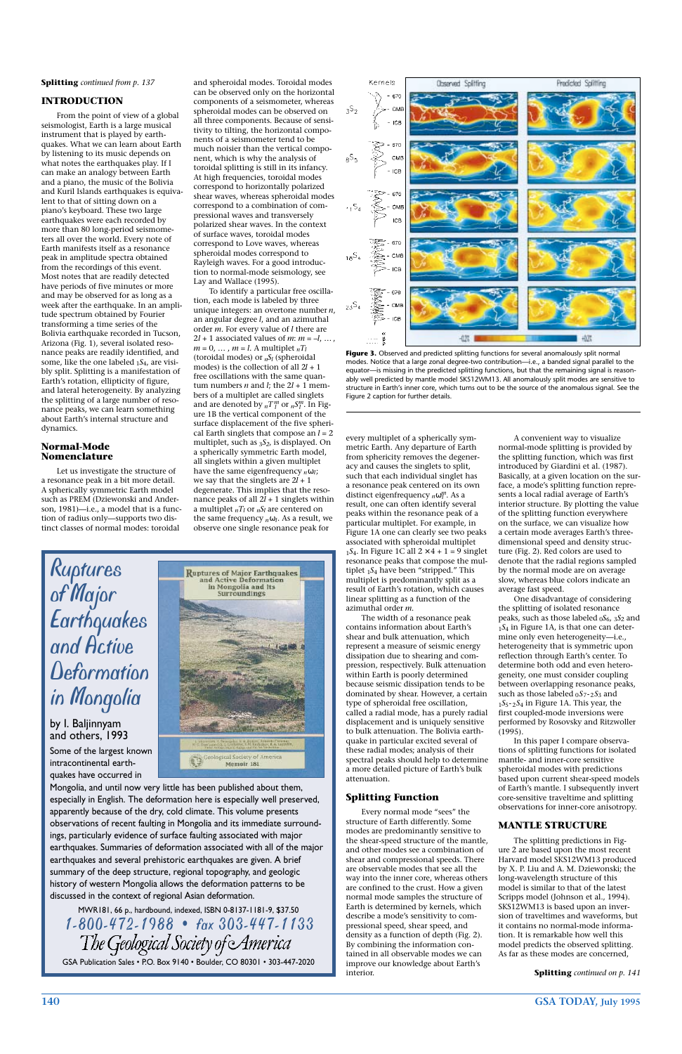**140 GSA TODAY, July 1995**

#### **INTRODUCTION**

From the point of view of a global seismologist, Earth is a large musical instrument that is played by earthquakes. What we can learn about Earth by listening to its music depends on what notes the earthquakes play. If I can make an analogy between Earth and a piano, the music of the Bolivia and Kuril Islands earthquakes is equivalent to that of sitting down on a piano's keyboard. These two large earthquakes were each recorded by more than 80 long-period seismometers all over the world. Every note of Earth manifests itself as a resonance peak in amplitude spectra obtained from the recordings of this event. Most notes that are readily detected have periods of five minutes or more and may be observed for as long as a week after the earthquake. In an amplitude spectrum obtained by Fourier transforming a time series of the Bolivia earthquake recorded in Tucson, Arizona (Fig. 1), several isolated resonance peaks are readily identified, and some, like the one labeled 1*S*4, are visibly split. Splitting is a manifestation of Earth's rotation, ellipticity of figure, and lateral heterogeneity. By analyzing the splitting of a large number of resonance peaks, we can learn something about Earth's internal structure and dynamics.

#### **Normal-Mode Nomenclature**

Let us investigate the structure of a resonance peak in a bit more detail. A spherically symmetric Earth model such as PREM (Dziewonski and Anderson, 1981)—i.e., a model that is a function of radius only—supports two distinct classes of normal modes: toroidal

and spheroidal modes. Toroidal modes can be observed only on the horizontal components of a seismometer, whereas spheroidal modes can be observed on all three components. Because of sensitivity to tilting, the horizontal components of a seismometer tend to be much noisier than the vertical component, which is why the analysis of toroidal splitting is still in its infancy. At high frequencies, toroidal modes correspond to horizontally polarized shear waves, whereas spheroidal modes correspond to a combination of compressional waves and transversely polarized shear waves. In the context of surface waves, toroidal modes correspond to Love waves, whereas spheroidal modes correspond to Rayleigh waves. For a good introduction to normal-mode seismology, see Lay and Wallace (1995).

To identify a particular free oscillation, each mode is labeled by three unique integers: an overtone number *n*, an angular degree *l*, and an azimuthal order *m*. For every value of *l* there are  $2l + 1$  associated values of *m*:  $m = -l, \ldots$ ,  $m = 0, \ldots, m = l$ . A multiplet  $nT_l$ (toroidal modes) or *nSl* (spheroidal modes) is the collection of all 2*l* + 1 free oscillations with the same quantum numbers *n* and *l*; the  $2l + 1$  members of a multiplet are called singlets and are denoted by  $_nT_l^m$  or  $_nS_l^m$ . In Figure 1B the vertical component of the surface displacement of the five spherical Earth singlets that compose an *l* = 2 multiplet, such as 3*S2*, is displayed. On a spherically symmetric Earth model, all singlets within a given multiplet have the same eigenfrequency *n*ω*l*; we say that the singlets are 2*l* + 1 degenerate. This implies that the resonance peaks of all 2*l* + 1 singlets within a multiplet  $nT_l$  or  $nS_l$  are centered on the same frequency  $n\omega_l$ . As a result, we observe one single resonance peak for

every multiplet of a spherically symmetric Earth. Any departure of Earth from sphericity removes the degeneracy and causes the singlets to split, such that each individual singlet has a resonance peak centered on its own distinct eigenfrequency *n*ω*<sup>l</sup> <sup>m</sup>*. As a result, one can often identify several peaks within the resonance peak of a particular multiplet. For example, in Figure 1A one can clearly see two peaks associated with spheroidal multiplet  $1S_4$ . In Figure 1C all  $2 \times 4 + 1 = 9$  singlet resonance peaks that compose the multiplet 1*S*<sup>4</sup> have been "stripped." This multiplet is predominantly split as a result of Earth's rotation, which causes linear splitting as a function of the azimuthal order *m*.

The width of a resonance peak contains information about Earth's shear and bulk attenuation, which represent a measure of seismic energy dissipation due to shearing and compression, respectively. Bulk attenuation within Earth is poorly determined because seismic dissipation tends to be dominated by shear. However, a certain type of spheroidal free oscillation, called a radial mode, has a purely radial displacement and is uniquely sensitive to bulk attenuation. The Bolivia earthquake in particular excited several of these radial modes; analysis of their spectral peaks should help to determine a more detailed picture of Earth's bulk

attenuation.

## **Splitting Function**

Every normal mode "sees" the structure of Earth differently. Some modes are predominantly sensitive to the shear-speed structure of the mantle, and other modes see a combination of shear and compressional speeds. There are observable modes that see all the way into the inner core, whereas others are confined to the crust. How a given normal mode samples the structure of Earth is determined by kernels, which describe a mode's sensitivity to compressional speed, shear speed, and density as a function of depth (Fig. 2). By combining the information contained in all observable modes we can improve our knowledge about Earth's interior.

A convenient way to visualize normal-mode splitting is provided by the splitting function, which was first introduced by Giardini et al. (1987). Basically, at a given location on the surface, a mode's splitting function represents a local radial average of Earth's interior structure. By plotting the value of the splitting function everywhere on the surface, we can visualize how a certain mode averages Earth's threedimensional speed and density structure (Fig. 2). Red colors are used to denote that the radial regions sampled by the normal mode are on average slow, whereas blue colors indicate an average fast speed.

One disadvantage of considering the splitting of isolated resonance peaks, such as those labeled 0*S*6, 3*S*<sup>2</sup> and <sup>1</sup>*S*<sup>4</sup> in Figure 1A, is that one can determine only even heterogeneity—i.e., heterogeneity that is symmetric upon reflection through Earth's center. To determine both odd and even heterogeneity, one must consider coupling between overlapping resonance peaks, such as those labeled  $_0S_7$ - $_2S_3$  and <sup>1</sup>*S*5- <sup>2</sup>*S*<sup>4</sup> in Figure 1A. This year, the first coupled-mode inversions were performed by Rosovsky and Ritzwoller (1995).

In this paper I compare observations of splitting functions for isolated mantle- and inner-core sensitive spheroidal modes with predictions based upon current shear-speed models of Earth's mantle. I subsequently invert core-sensitive traveltime and splitting observations for inner-core anisotropy.

## **MANTLE STRUCTURE**

The splitting predictions in Figure 2 are based upon the most recent Harvard model SKS12WM13 produced by X. P. Liu and A. M. Dziewonski; the long-wavelength structure of this model is similar to that of the latest Scripps model (Johnson et al., 1994). SKS12WM13 is based upon an inversion of traveltimes and waveforms, but it contains no normal-mode information. It is remarkable how well this model predicts the observed splitting. As far as these modes are concerned,

#### **Splitting** *continued from p. 137*



**Figure 3.** Observed and predicted splitting functions for several anomalously split normal modes. Notice that a large zonal degree-two contribution—i.e., a banded signal parallel to the equator—is missing in the predicted splitting functions, but that the remaining signal is reasonably well predicted by mantle model SKS12WM13. All anomalously split modes are sensitive to structure in Earth's inner core, which turns out to be the source of the anomalous signal. See the Figure 2 caption for further details.

**Splitting** *continued on p. 141*

# *Ruptures of Major Earthquakes and Active Deformation in Mongolia*

by I. Baljinnyam and others, 1993

Some of the largest known intracontinental earth-



#### quakes have occurred in

Mongolia, and until now very little has been published about them, especially in English. The deformation here is especially well preserved, apparently because of the dry, cold climate. This volume presents observations of recent faulting in Mongolia and its immediate surroundings, particularly evidence of surface faulting associated with major earthquakes. Summaries of deformation associated with all of the major earthquakes and several prehistoric earthquakes are given. A brief summary of the deep structure, regional topography, and geologic history of western Mongolia allows the deformation patterns to be discussed in the context of regional Asian deformation.

MWR181, 66 p., hardbound, indexed, ISBN 0-8137-1181-9, \$37.50 *1-800-472-1988 • fax 303-447-1133* GSA Publication Sales • P.O. Box 9140 • Boulder, CO 80301 • 303-447-2020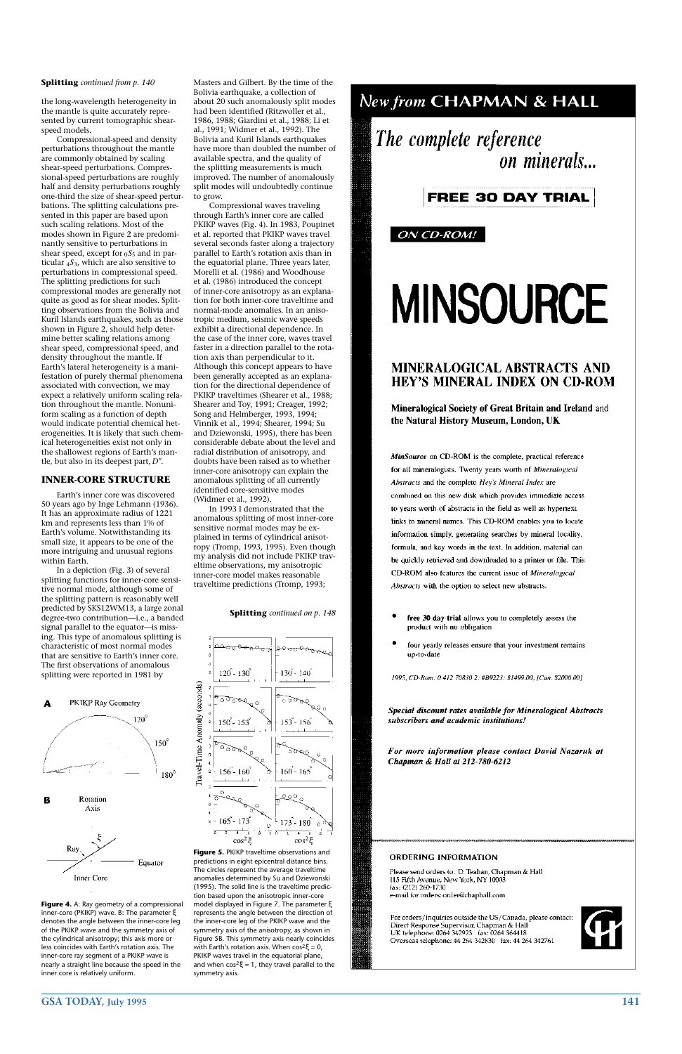## **GSA TODAY, July 1995 141**

the long-wavelength heterogeneity in the mantle is quite accurately represented by current tomographic shearspeed models.

Compressional-speed and density perturbations throughout the mantle are commonly obtained by scaling shear-speed perturbations. Compressional-speed perturbations are roughly half and density perturbations roughly one-third the size of shear-speed perturbations. The splitting calculations presented in this paper are based upon such scaling relations. Most of the modes shown in Figure 2 are predominantly sensitive to perturbations in shear speed, except for 0 *S* <sup>5</sup> and in particular 4*S*3, which are also sensitive to perturbations in compressional speed. The splitting predictions for such compressional modes are generally not quite as good as for shear modes. Splitting observations from the Bolivia and Kuril Islands earthquakes, such as those shown in Figure 2, should help determine better scaling relations among shear speed, compressional speed, and density throughout the mantle. If Earth's lateral heterogeneity is a manifestation of purely thermal phenomena associated with convection, we may expect a relatively uniform scaling relation throughout the mantle. Nonuniform scaling as a function of depth would indicate potential chemical heterogeneities. It is likely that such chemical heterogeneities exist not only in the shallowest regions of Earth's mantle, but also in its deepest part, *D"*.

#### **INNER-CORE STRUCTURE**

Earth's inner core was discovered 50 years ago by Inge Lehmann (1936). It has an approximate radius of 1221 km and represents less than 1% of Earth's volume. Notwithstanding its small size, it appears to be one of the more intriguing and unusual regions within Earth.

In a depiction (Fig. 3) of several splitting functions for inner-core sensitive normal mode, although some of the splitting pattern is reasonably well predicted by SKS12WM13, a large zonal degree-two contribution—i.e., a banded signal parallel to the equator—is missing. This type of anomalous splitting is characteristic of most normal modes that are sensitive to Earth's inner core. The first observations of anomalous splitting were reported in 1981 by



**Figure 5. PKIKP traveltime observations and** predictions in eight epicentral distance bins. The circles represent the average traveltime anomalies determined by Su and Dziewonski (1995). The solid line is the traveltime prediction based upon the anisotropic inner-core model displayed in Figure 7. The parameter ξ represents the angle between the direction of the inner-core leg of the PKIKP wave and the symmetry axis of the anisotropy, as shown in Figure 5B. This symmetry axis nearly coincides with Earth's rotation axis. When  $\cos^2 \xi = 0$ , PKIKP waves travel in the equatorial plane, and when  $cos^2 \xi = 1$ , they travel parallel to the symmetry axis.

#### ORDERING INFORMATION

Please send orders to: D. Teahan, Chapman & Hall 115 Fifth Avenue, New York, NY 10003 fax: (212) 260-1730 e-mail for orders: order@chaphall.com

For orders/inquiries outside the US/Canada, please contact: Direct Response Supervisor, Chapman & Hall UK telephone: 0264 342923 fax: 0264 364418 Overseas telephone: 44 264 342830 fax: 44 264 342761



Masters and Gilbert. By the time of the Bolivia earthquake, a collection of about 20 such anomalously split modes had been identified (Ritzwoller et al., 1986, 1988; Giardini et al., 1988; Li et al., 1991; Widmer et al., 1992). The Bolivia and Kuril Islands earthquakes have more than doubled the number of available spectra, and the quality of the splitting measurements is much improved. The number of anomalously split modes will undoubtedly continue to grow.

Compressional waves traveling through Earth's inner core are called PKIKP waves (Fig. 4). In 1983, Poupinet et al. reported that PKIKP waves travel several seconds faster along a trajectory parallel to Earth's rotation axis than in the equatorial plane. Three years later, Morelli et al. (1986) and Woodhouse et al. (1986) introduced the concept of inner-core anisotropy as an explanation for both inner-core traveltime and normal-mode anomalies. In an anisotropic medium, seismic wave speeds exhibit a directional dependence. In the case of the inner core, waves travel faster in a direction parallel to the rotation axis than perpendicular to it. Although this concept appears to have been generally accepted as an explanation for the directional dependence of PKIKP traveltimes (Shearer et al., 1988; Shearer and Toy, 1991; Creager, 1992; Song and Helmberger, 1993, 1994; Vinnik et al., 1994; Shearer, 1994; Su and Dziewonski, 1995), there has been considerable debate about the level and radial distribution of anisotropy, and doubts have been raised as to whether inner-core anisotropy can explain the anomalous splitting of all currently identified core-sensitive modes (Widmer et al., 1992).

In 1993 I demonstrated that the anomalous splitting of most inner-core sensitive normal modes may be explained in terms of cylindrical anisotropy (Tromp, 1993, 1995). Even though my analysis did not include PKIKP traveltime observations, my anisotropic inner-core model makes reasonable traveltime predictions (Tromp, 1993;

**Figure 4.** A: Ray geometry of a compressional inner-core (PKIKP) wave. B: The parameter ξ denotes the angle between the inner-core leg of the PKIKP wave and the symmetry axis of the cylindrical anisotropy; this axis more or less coincides with Earth's rotation axis. The inner-core ray segment of a PKIKP wave is nearly a straight line because the speed in the inner core is relatively uniform.

#### **Splitting** *continued from p. 140*

#### **Splitting** *continued on p. 148*



# New from CHAPMAN & HALL

The complete reference on minerals...

# **FREE 30 DAY TRIAL**

## ON CD-ROM!

# **MINSOURCE**

# **MINERALOGICAL ABSTRACTS AND HEY'S MINERAL INDEX ON CD-ROM**

Mineralogical Society of Great Britain and Ireland and the Natural History Museum, London, UK

MinSource on CD-ROM is the complete, practical reference for all mineralogists. Twenty years worth of Mineralogical Abstracts and the complete Hey's Mineral Index are combined on this new disk which provides immediate access to years worth of abstracts in the field as well as hypertext links to mineral names. This CD-ROM enables you to locate information simply, generating searches by mineral locality, formula, and key words in the text. In addition, material can be quickly retrieved and downloaded to a printer or file. This CD-ROM also features the current issue of Mineralogical Abstracts with the option to select new abstracts.

- free 30 day trial allows you to completely assess the product with no obligation
- four yearly releases ensure that your investment remains up-to-date

1995, CD-Rom: 0 412 70830 2: #B9223: \$1499.00, [Can. \$2000.00]

Special discount rates available for Mineralogical Abstracts subscribers and academic institutions!

For more information please contact David Nazaruk at Chapman & Hall at 212-780-6212

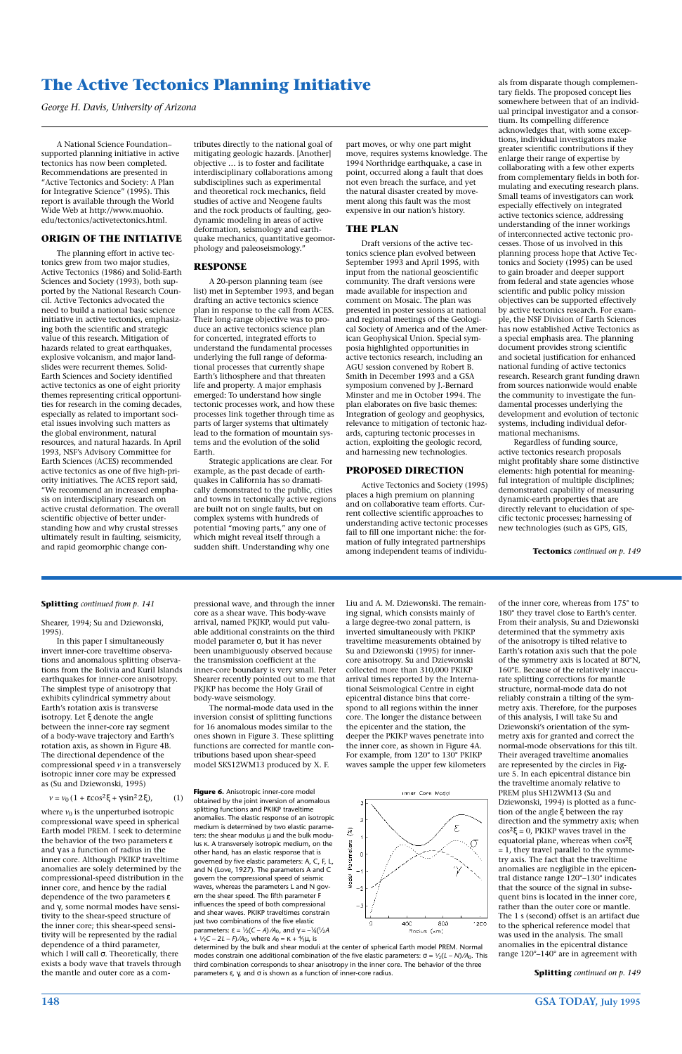## **148 GSA TODAY, July 1995**

A National Science Foundation– supported planning initiative in active tectonics has now been completed. Recommendations are presented in "Active Tectonics and Society: A Plan for Integrative Science" (1995). This report is available through the World Wide Web at http://www.muohio. edu/tectonics/activetectonics.html.

#### **ORIGIN OF THE INITIATIVE**

The planning effort in active tectonics grew from two major studies, Active Tectonics (1986) and Solid-Earth Sciences and Society (1993), both supported by the National Research Council. Active Tectonics advocated the need to build a national basic science initiative in active tectonics, emphasizing both the scientific and strategic value of this research. Mitigation of hazards related to great earthquakes, explosive volcanism, and major landslides were recurrent themes. Solid-Earth Sciences and Society identified active tectonics as one of eight priority themes representing critical opportunities for research in the coming decades, especially as related to important societal issues involving such matters as the global environment, natural resources, and natural hazards. In April 1993, NSF's Advisory Committee for Earth Sciences (ACES) recommended active tectonics as one of five high-priority initiatives. The ACES report said, "We recommend an increased emphasis on interdisciplinary research on active crustal deformation. The overall scientific objective of better understanding how and why crustal stresses ultimately result in faulting, seismicity, and rapid geomorphic change contributes directly to the national goal of mitigating geologic hazards. [Another] objective … is to foster and facilitate interdisciplinary collaborations among subdisciplines such as experimental and theoretical rock mechanics, field studies of active and Neogene faults and the rock products of faulting, geodynamic modeling in areas of active deformation, seismology and earthquake mechanics, quantitative geomorphology and paleoseismology."

#### **RESPONSE**

A 20-person planning team (see list) met in September 1993, and began drafting an active tectonics science plan in response to the call from ACES. Their long-range objective was to produce an active tectonics science plan for concerted, integrated efforts to understand the fundamental processes underlying the full range of deformational processes that currently shape Earth's lithosphere and that threaten life and property. A major emphasis emerged: To understand how single tectonic processes work, and how these processes link together through time as parts of larger systems that ultimately lead to the formation of mountain systems and the evolution of the solid Earth.

Strategic applications are clear. For example, as the past decade of earthquakes in California has so dramatically demonstrated to the public, cities and towns in tectonically active regions are built not on single faults, but on complex systems with hundreds of potential "moving parts," any one of which might reveal itself through a sudden shift. Understanding why one

part moves, or why one part might move, requires systems knowledge. The 1994 Northridge earthquake, a case in point, occurred along a fault that does not even breach the surface, and yet the natural disaster created by movement along this fault was the most expensive in our nation's history.

#### **THE PLAN**

Draft versions of the active tectonics science plan evolved between September 1993 and April 1995, with input from the national geoscientific community. The draft versions were made available for inspection and comment on Mosaic. The plan was presented in poster sessions at national and regional meetings of the Geological Society of America and of the American Geophysical Union. Special symposia highlighted opportunities in active tectonics research, including an AGU session convened by Robert B. Smith in December 1993 and a GSA symposium convened by J.-Bernard Minster and me in October 1994. The plan elaborates on five basic themes: Integration of geology and geophysics, relevance to mitigation of tectonic hazards, capturing tectonic processes in action, exploiting the geologic record, and harnessing new technologies.

where  $v_0$  is the unperturbed isotropic compressional wave speed in spherical Earth model PREM. I seek to determine the behavior of the two parameters ε and γ as a function of radius in the inner core. Although PKIKP traveltime anomalies are solely determined by the compressional-speed distribution in the inner core, and hence by the radial dependence of the two parameters ε and γ, some normal modes have sensitivity to the shear-speed structure of the inner core; this shear-speed sensitivity will be represented by the radial dependence of a third parameter, which I will call σ. Theoretically, there exists a body wave that travels through the mantle and outer core as a com-

## **PROPOSED DIRECTION**

Active Tectonics and Society (1995) places a high premium on planning and on collaborative team efforts. Current collective scientific approaches to understanding active tectonic processes fail to fill one important niche: the formation of fully integrated partnerships among independent teams of individuals from disparate though complementary fields. The proposed concept lies somewhere between that of an individual principal investigator and a consortium. Its compelling difference acknowledges that, with some exceptions, individual investigators make greater scientific contributions if they enlarge their range of expertise by collaborating with a few other experts from complementary fields in both formulating and executing research plans. Small teams of investigators can work especially effectively on integrated active tectonics science, addressing understanding of the inner workings of interconnected active tectonic processes. Those of us involved in this planning process hope that Active Tectonics and Society (1995) can be used to gain broader and deeper support from federal and state agencies whose scientific and public policy mission objectives can be supported effectively by active tectonics research. For example, the NSF Division of Earth Sciences has now established Active Tectonics as a special emphasis area. The planning document provides strong scientific and societal justification for enhanced national funding of active tectonics research. Research grant funding drawn from sources nationwide would enable the community to investigate the fundamental processes underlying the development and evolution of tectonic systems, including individual deformational mechanisms.

Regardless of funding source, active tectonics research proposals might profitably share some distinctive elements: high potential for meaningful integration of multiple disciplines; demonstrated capability of measuring dynamic-earth properties that are directly relevant to elucidation of specific tectonic processes; harnessing of new technologies (such as GPS, GIS,

# **The Active Tectonics Planning Initiative**

*George H. Davis, University of Arizona*

**Tectonics** *continued on p. 149*

Shearer, 1994; Su and Dziewonski, 1995).

In this paper I simultaneously invert inner-core traveltime observations and anomalous splitting observations from the Bolivia and Kuril Islands earthquakes for inner-core anisotropy. The simplest type of anisotropy that exhibits cylindrical symmetry about Earth's rotation axis is transverse isotropy. Let ξ denote the angle between the inner-core ray segment of a body-wave trajectory and Earth's rotation axis, as shown in Figure 4B. The directional dependence of the compressional speed *v* in a transversely

isotropic inner core may be expressed as (Su and Dziewonski, 1995)

 $v = v_0 (1 + \varepsilon \cos^2 \xi + \gamma \sin^2 2\xi),$  (1)

pressional wave, and through the inner core as a shear wave. This body-wave arrival, named PKJKP, would put valuable additional constraints on the third model parameter σ, but it has never been unambiguously observed because the transmission coefficient at the inner-core boundary is very small. Peter Shearer recently pointed out to me that PKJKP has become the Holy Grail of body-wave seismology.

The normal-mode data used in the inversion consist of splitting functions for 16 anomalous modes similar to the ones shown in Figure 3. These splitting functions are corrected for mantle contributions based upon shear-speed model SKS12WM13 produced by X. F.

Liu and A. M. Dziewonski. The remaining signal, which consists mainly of a large degree-two zonal pattern, is inverted simultaneously with PKIKP traveltime measurements obtained by Su and Dziewonski (1995) for innercore anisotropy. Su and Dziewonski collected more than 310,000 PKIKP arrival times reported by the International Seismological Centre in eight epicentral distance bins that correspond to all regions within the inner core. The longer the distance between the epicenter and the station, the deeper the PKIKP waves penetrate into the inner core, as shown in Figure 4A. For example, from 120° to 130° PKIKP waves sample the upper few kilometers

of the inner core, whereas from 175° to 180° they travel close to Earth's center. From their analysis, Su and Dziewonski determined that the symmetry axis of the anisotropy is tilted relative to Earth's rotation axis such that the pole of the symmetry axis is located at 80°N, 160°E. Because of the relatively inaccurate splitting corrections for mantle structure, normal-mode data do not reliably constrain a tilting of the symmetry axis. Therefore, for the purposes of this analysis, I will take Su and Dziewonski's orientation of the symmetry axis for granted and correct the normal-mode observations for this tilt. Their averaged traveltime anomalies are represented by the circles in Figure 5. In each epicentral distance bin the traveltime anomaly relative to PREM plus SH12WM13 (Su and Dziewonski, 1994) is plotted as a function of the angle ξ between the ray direction and the symmetry axis; when  $cos<sup>2</sup>ξ = 0$ , PKIKP waves travel in the equatorial plane, whereas when cos2ξ = 1, they travel parallel to the symmetry axis. The fact that the traveltime anomalies are negligible in the epicentral distance range 120°–130° indicates that the source of the signal in subsequent bins is located in the inner core, rather than the outer core or mantle. The 1 s (second) offset is an artifact due to the spherical reference model that was used in the analysis. The small anomalies in the epicentral distance range 120°–140° are in agreement with

**Figure 6.** Anisotropic inner-core model obtained by the joint inversion of anomalous splitting functions and PKIKP traveltime anomalies. The elastic response of an isotropic medium is determined by two elastic parameters: the shear modulus  $\mu$  and the bulk modulus κ. A transversely isotropic medium, on the other hand, has an elastic response that is governed by five elastic parameters: A, C, F, L, and N (Love, 1927). The parameters A and C govern the compressional speed of seismic waves, whereas the parameters L and N govern the shear speed. The fifth parameter F influences the speed of both compressional and shear waves. PKIKP traveltimes constrain just two combinations of the five elastic parameters: ε = 1⁄ 2(*C* – *A*) ⁄*A*0, and γ = –1⁄ 4(1⁄2*A* + 1⁄2*C* – 2*L* – *F*) ⁄*A*0, where *A*<sup>0</sup> = κ + 4⁄ <sup>3</sup>µ, is

determined by the bulk and shear moduli at the center of spherical Earth model PREM. Normal modes constrain one additional combination of the five elastic parameters: σ = 1⁄2(*L* – *N*) ⁄*A*0. This third combination corresponds to shear anisotropy in the inner core. The behavior of the three parameters ε, γ, and σ is shown as a function of inner-core radius.



#### **Splitting** *continued from p. 141*

**Splitting** *continued on p. 149*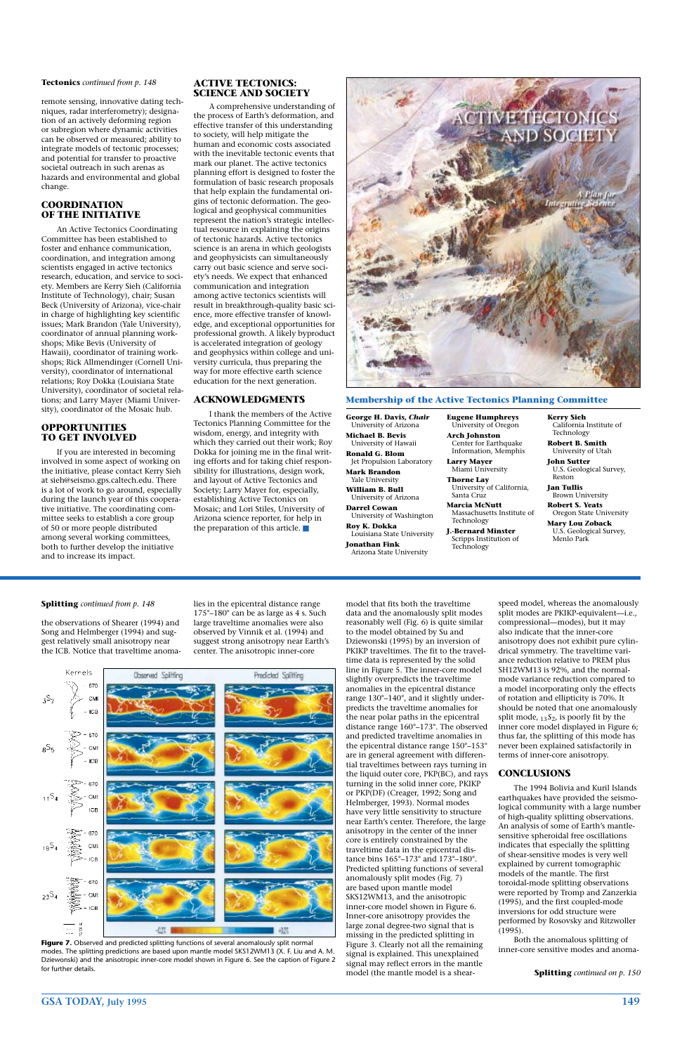# **GSA TODAY, July 1995 149**

the observations of Shearer (1994) and Song and Helmberger (1994) and suggest relatively small anisotropy near the ICB. Notice that traveltime anomalies in the epicentral distance range 175°–180° can be as large as 4 s. Such large traveltime anomalies were also observed by Vinnik et al. (1994) and suggest strong anisotropy near Earth's center. The anisotropic inner-core



model that fits both the traveltime data and the anomalously split modes reasonably well (Fig. 6) is quite similar to the model obtained by Su and Dziewonski (1995) by an inversion of PKIKP traveltimes. The fit to the traveltime data is represented by the solid line in Figure 5. The inner-core model slightly overpredicts the traveltime anomalies in the epicentral distance range 130°–140°, and it slightly underpredicts the traveltime anomalies for the near polar paths in the epicentral distance range 160°–173°. The observed and predicted traveltime anomalies in the epicentral distance range 150°–153° are in general agreement with differential traveltimes between rays turning in the liquid outer core, PKP(BC), and rays turning in the solid inner core, PKIKP or PKP(DF) (Creager, 1992; Song and Helmberger, 1993). Normal modes have very little sensitivity to structure near Earth's center. Therefore, the large anisotropy in the center of the inner core is entirely constrained by the traveltime data in the epicentral distance bins 165°–173° and 173°–180°. Predicted splitting functions of several anomalously split modes (Fig. 7) are based upon mantle model SKS12WM13, and the anisotropic inner-core model shown in Figure 6. Inner-core anisotropy provides the large zonal degree-two signal that is missing in the predicted splitting in Figure 3. Clearly not all the remaining signal is explained. This unexplained signal may reflect errors in the mantle model (the mantle model is a shearspeed model, whereas the anomalously split modes are PKIKP-equivalent—i.e., compressional—modes), but it may also indicate that the inner-core anisotropy does not exhibit pure cylindrical symmetry. The traveltime variance reduction relative to PREM plus SH12WM13 is 92%, and the normalmode variance reduction compared to a model incorporating only the effects of rotation and ellipticity is 70%. It should be noted that one anomalously split mode,  $_{13}S_2$ , is poorly fit by the inner core model displayed in Figure 6; thus far, the splitting of this mode has never been explained satisfactorily in terms of inner-core anisotropy.

# **NCLUSIONS**

The 1994 Bolivia and Kuril Islands earthquakes have provided the seismological community with a large number of high-quality splitting observations. An analysis of some of Earth's mantlesensitive spheroidal free oscillations indicates that especially the splitting of shear-sensitive modes is very well explained by current tomographic models of the mantle. The first toroidal-mode splitting observations were reported by Tromp and Zanzerkia (1995), and the first coupled-mode inversions for odd structure were performed by Rosovsky and Ritzwoller (1995).

Both the anomalous splitting of inner-core sensitive modes and anoma-

remote sensing, innovative dating techniques, radar interferometry); designation of an actively deforming region or subregion where dynamic activities can be observed or measured; ability to integrate models of tectonic processes; and potential for transfer to proactive societal outreach in such arenas as hazards and environmental and global change.

#### **COORDINATION OF THE INITIATIVE**

Figure 7. Observed and predicted splitting functions of several anomalously split normal modes. The splitting predictions are based upon mantle model SKS12WM13 (X. F. Liu and A. M. Dziewonski) and the anisotropic inner-core model shown in Figure 6. See the caption of Figure 2 for further details.

An Active Tectonics Coordinating Committee has been established to foster and enhance communication, coordination, and integration among scientists engaged in active tectonics research, education, and service to society. Members are Kerry Sieh (California Institute of Technology), chair; Susan Beck (University of Arizona), vice-chair in charge of highlighting key scientific issues; Mark Brandon (Yale University), coordinator of annual planning workshops; Mike Bevis (University of Hawaii), coordinator of training workshops; Rick Allmendinger (Cornell University), coordinator of international relations; Roy Dokka (Louisiana State University), coordinator of societal relations; and Larry Mayer (Miami University), coordinator of the Mosaic hub.

#### **OPPORTUNITIES TO GET INVOLVED**

If you are interested in becoming involved in some aspect of working on the initiative, please contact Kerry Sieh at sieh@seismo.gps.caltech.edu. There is a lot of work to go around, especially during the launch year of this cooperative initiative. The coordinating committee seeks to establish a core group of 50 or more people distributed among several working committees, both to further develop the initiative and to increase its impact.

## **ACTIVE TECTONICS: SCIENCE AND SOCIETY**

A comprehensive understanding of the process of Earth's deformation, and effective transfer of this understanding to society, will help mitigate the human and economic costs associated with the inevitable tectonic events that mark our planet. The active tectonics planning effort is designed to foster the formulation of basic research proposals that help explain the fundamental origins of tectonic deformation. The geological and geophysical communities represent the nation's strategic intellectual resource in explaining the origins of tectonic hazards. Active tectonics science is an arena in which geologists and geophysicists can simultaneously carry out basic science and serve society's needs. We expect that enhanced communication and integration among active tectonics scientists will result in breakthrough-quality basic science, more effective transfer of knowledge, and exceptional opportunities for professional growth. A likely byproduct is accelerated integration of geology and geophysics within college and university curricula, thus preparing the way for more effective earth science education for the next generation.

## **ACKNOWLEDGMENTS**

I thank the members of the Active Tectonics Planning Committee for the wisdom, energy, and integrity with which they carried out their work; Roy Dokka for joining me in the final writing efforts and for taking chief responsibility for illustrations, design work, and layout of Active Tectonics and Society; Larry Mayer for, especially, establishing Active Tectonics on Mosaic; and Lori Stiles, University of Arizona science reporter, for help in the preparation of this article. ■



**George H. Davis,** *Chair*  University of Arizona **Michael B. Bevis**  University of Hawaii **Ronald G. Blom**  Jet Propulsion Laboratory **Mark Brandon** 

Yale University **William B. Bull**  University of Arizona

- **Darrel Cowan**  University of Washington **Roy K. Dokka**  Louisiana State University
- **Jonathan Fink**  Arizona State University

**Eugene Humphreys** University of Oregon **Arch Johnston** 

- Center for Earthquake Information, Memphis **Larry Mayer**
- Miami University **Thorne Lay**  University of California, Santa Cruz
- **Marcia McNutt**  Massachusetts Institute of Technology
- **J.-Bernard Minster**  Scripps Institution of **Technology**
- **Kerry Sieh**  California Institute of Technology
- **Robert B. Smith**  University of Utah
- **John Sutter**  U.S. Geological Survey, Reston
- **Jan Tullis**  Brown University **Robert S. Yeats**
- Oregon State University
- **Mary Lou Zoback**  U.S. Geological Survey, Menlo Park

#### **Membership of the Active Tectonics Planning Committee**

#### **Tectonics** *continued from p. 148*

#### **Splitting** *continued from p. 148*

**Splitting** *continued on p. 150*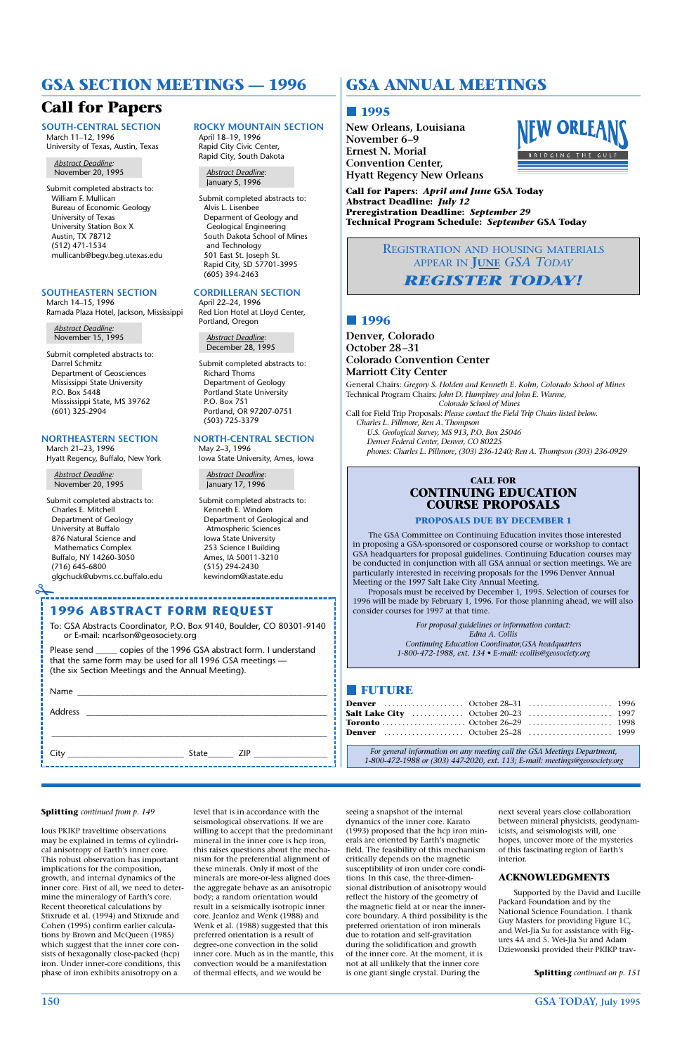**150 GSA TODAY, July 1995**

# **GSA ANNUAL MEETINGS**

# **1995**

**New Orleans, Louisiana November 6–9 Ernest N. Morial Convention Center, Hyatt Regency New Orleans**



**Call for Papers:** *April and June* **GSA Today Abstract Deadline:** *July 12* **Preregistration Deadline:** *September 29* **Technical Program Schedule:** *September* **GSA Today**

# **1996**

**Denver, Colorado October 28–31 Colorado Convention Center Marriott City Center** General Chairs: *Gregory S. Holden and Kenneth E. Kolm, Colorado School of Mines* Technical Program Chairs: *John D. Humphrey and John E. Warme, Colorado School of Mines* Call for Field Trip Proposals: *Please contact the Field Trip Chairs listed below. Charles L. Pillmore, Ren A. Thompson U.S. Geological Survey, MS 913, P.O. Box 25046 Denver Federal Center, Denver, CO 80225 phones: Charles L. Pillmore, (303) 236-1240; Ren A. Thompson (303) 236-0929*

*For general information on any meeting call the GSA Meetings Department, 1-800-472-1988 or (303) 447-2020, ext. 113; E-mail: meetings@geosociety.org*

# **CALL FOR CONTINUING EDUCATION COURSE PROPOSALS**

#### **PROPOSALS DUE BY DECEMBER 1**

The GSA Committee on Continuing Education invites those interested in proposing a GSA-sponsored or cosponsored course or workshop to contact GSA headquarters for proposal guidelines. Continuing Education courses may be conducted in conjunction with all GSA annual or section meetings. We are particularly interested in receiving proposals for the 1996 Denver Annual Meeting or the 1997 Salt Lake City Annual Meeting.

Proposals must be received by December 1, 1995. Selection of courses for 1996 will be made by February 1, 1996. For those planning ahead, we will also consider courses for 1997 at that time.

> *For proposal guidelines or information contact: Edna A. Collis Continuing Education Coordinator,GSA headquarters 1-800-472-1988, ext. 134 • E-mail: ecollis@geosociety.org*

# **FUTURE**

REGISTRATION AND HOUSING MATERIALS APPEAR IN **JUNE** *GSA TODAY REGISTER TODAY!*

Please send copies of the 1996 GSA abstract form. I understand that the same form may be used for all 1996 GSA meetings — (the six Section Meetings and the Annual Meeting).

**SOUTH-CENTRAL SECTION** March 11–12, 1996 University of Texas, Austin, Texas

*Abstract Deadline:* November 20, 1995

Submit completed abstracts to: William F. Mullican Bureau of Economic Geology University of Texas University Station Box X Austin, TX 78712 (512) 471-1534 mullicanb@begv.beg.utexas.edu

#### **SOUTHEASTERN SECTION**

March 14–15, 1996 Ramada Plaza Hotel, Jackson, Mississippi

*Abstract Deadline:* November 15, 1995

Submit completed abstracts to: Darrel Schmitz Department of Geosciences Mississippi State University P.O. Box 5448 Misssissippi State, MS 39762 (601) 325-2904

#### **NORTHEASTERN SECTION**

March 21–23, 1996 Hyatt Regency, Buffalo, New York

*Abstract Deadline:* November 20, 1995

 $\overline{\mathscr{L}}$ 

Submit completed abstracts to: Charles E. Mitchell Department of Geology University at Buffalo 876 Natural Science and Mathematics Complex Buffalo, NY 14260-3050 (716) 645-6800 glgchuck@ubvms.cc.buffalo.edu **ROCKY MOUNTAIN SECTION** April 18–19, 1996 Rapid City Civic Center, Rapid City, South Dakota

*Abstract Deadline:* January 5, 1996

Submit completed abstracts to: Alvis L. Lisenbee Deparment of Geology and Geological Engineering South Dakota School of Mines and Technology 501 East St. Joseph St. Rapid City, SD 57701-3995 (605) 394-2463

# **CORDILLERAN SECTION**

April 22–24, 1996 Red Lion Hotel at Lloyd Center, Portland, Oregon

*Abstract Deadline:* December 28, 1995

Submit completed abstracts to: Richard Thoms Department of Geology Portland State University P.O. Box 751 Portland, OR 97207-0751 (503) 725-3379

#### **NORTH-CENTRAL SECTION**

May 2–3, 1996 Iowa State University, Ames, Iowa

*Abstract Deadline:* January 17, 1996

Submit completed abstracts to: Kenneth E. Windom Department of Geological and Atmospheric Sciences Iowa State University 253 Science I Building Ames, IA 50011-3210 (515) 294-2430 kewindom@iastate.edu

# **1996 ABSTRACT FORM REQUEST**

To: GSA Abstracts Coordinator, P.O. Box 9140, Boulder, CO 80301-9140 or E-mail: ncarlson@geosociety.org

Name \_\_\_\_\_\_\_\_\_\_\_\_\_\_\_\_\_\_\_\_\_\_\_\_\_\_\_\_\_\_\_\_\_\_\_\_\_\_\_\_\_\_\_\_\_\_\_\_\_\_\_\_\_\_\_\_\_\_ Address \_\_\_\_\_\_\_\_\_\_\_\_\_\_\_\_\_\_\_\_\_\_\_\_\_\_\_\_\_\_\_\_\_\_\_\_\_\_\_\_\_\_\_\_\_\_\_\_\_\_\_\_\_\_\_\_\_\_\_\_\_\_\_\_

City **City** State **ZIP** 

# **GSA SECTION MEETINGS — 1996**

# **Call for Papers**

lous PKIKP traveltime observations may be explained in terms of cylindrical anisotropy of Earth's inner core. This robust observation has important implications for the composition, growth, and internal dynamics of the inner core. First of all, we need to determine the mineralogy of Earth's core. Recent theoretical calculations by Stixrude et al. (1994) and Stixrude and Cohen (1995) confirm earlier calculations by Brown and McQueen (1985) which suggest that the inner core consists of hexagonally close-packed (hcp) iron. Under inner-core conditions, this phase of iron exhibits anisotropy on a

level that is in accordance with the seismological observations. If we are willing to accept that the predominant mineral in the inner core is hcp iron, this raises questions about the mechanism for the preferential alignment of these minerals. Only if most of the minerals are more-or-less aligned does the aggregate behave as an anisotropic body; a random orientation would result in a seismically isotropic inner core. Jeanloz and Wenk (1988) and Wenk et al. (1988) suggested that this preferred orientation is a result of degree-one convection in the solid inner core. Much as in the mantle, this convection would be a manifestation of thermal effects, and we would be

seeing a snapshot of the internal dynamics of the inner core. Karato (1993) proposed that the hcp iron minerals are oriented by Earth's magnetic field. The feasibility of this mechanism critically depends on the magnetic susceptibility of iron under core conditions. In this case, the three-dimensional distribution of anisotropy would reflect the history of the geometry of the magnetic field at or near the innercore boundary. A third possibility is the preferred orientation of iron minerals due to rotation and self-gravitation during the solidification and growth of the inner core. At the moment, it is not at all unlikely that the inner core is one giant single crystal. During the

next several years close collaboration between mineral physicists, geodynamicists, and seismologists will, one hopes, uncover more of the mysteries of this fascinating region of Earth's interior.

#### **ACKNOWLEDGMENTS**

Supported by the David and Lucille Packard Foundation and by the National Science Foundation. I thank Guy Masters for providing Figure 1C, and Wei-Jia Su for assistance with Figures 4A and 5. Wei-Jia Su and Adam Dziewonski provided their PKIKP trav-

#### **Splitting** *continued from p. 149*

**Splitting** *continued on p. 151*